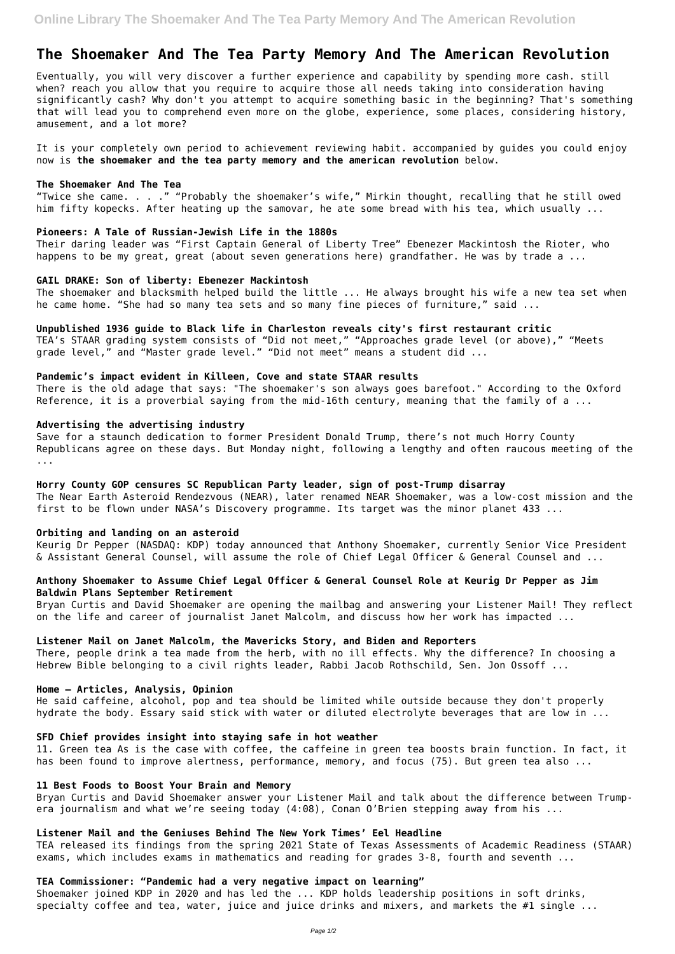# **The Shoemaker And The Tea Party Memory And The American Revolution**

Eventually, you will very discover a further experience and capability by spending more cash. still when? reach you allow that you require to acquire those all needs taking into consideration having significantly cash? Why don't you attempt to acquire something basic in the beginning? That's something that will lead you to comprehend even more on the globe, experience, some places, considering history, amusement, and a lot more?

Their daring leader was "First Captain General of Liberty Tree" Ebenezer Mackintosh the Rioter, who happens to be my great, great (about seven generations here) grandfather. He was by trade a ...

It is your completely own period to achievement reviewing habit. accompanied by guides you could enjoy now is **the shoemaker and the tea party memory and the american revolution** below.

#### **The Shoemaker And The Tea**

TEA's STAAR grading system consists of "Did not meet," "Approaches grade level (or above)," "Meets grade level," and "Master grade level." "Did not meet" means a student did ...

"Twice she came. . . ." "Probably the shoemaker's wife," Mirkin thought, recalling that he still owed him fifty kopecks. After heating up the samovar, he ate some bread with his tea, which usually ...

There is the old adage that says: "The shoemaker's son always goes barefoot." According to the Oxford Reference, it is a proverbial saying from the mid-16th century, meaning that the family of a ...

#### **Pioneers: A Tale of Russian-Jewish Life in the 1880s**

#### **GAIL DRAKE: Son of liberty: Ebenezer Mackintosh**

The shoemaker and blacksmith helped build the little ... He always brought his wife a new tea set when he came home. "She had so many tea sets and so many fine pieces of furniture," said ...

#### **Unpublished 1936 guide to Black life in Charleston reveals city's first restaurant critic**

#### **Pandemic's impact evident in Killeen, Cove and state STAAR results**

11. Green tea As is the case with coffee, the caffeine in green tea boosts brain function. In fact, it has been found to improve alertness, performance, memory, and focus (75). But green tea also ...

#### **Advertising the advertising industry**

Save for a staunch dedication to former President Donald Trump, there's not much Horry County Republicans agree on these days. But Monday night, following a lengthy and often raucous meeting of the ...

Shoemaker joined KDP in 2020 and has led the ... KDP holds leadership positions in soft drinks, specialty coffee and tea, water, juice and juice drinks and mixers, and markets the #1 single ...

#### **Horry County GOP censures SC Republican Party leader, sign of post-Trump disarray**

The Near Earth Asteroid Rendezvous (NEAR), later renamed NEAR Shoemaker, was a low-cost mission and the first to be flown under NASA's Discovery programme. Its target was the minor planet 433 ...

#### **Orbiting and landing on an asteroid**

Keurig Dr Pepper (NASDAQ: KDP) today announced that Anthony Shoemaker, currently Senior Vice President & Assistant General Counsel, will assume the role of Chief Legal Officer & General Counsel and ...

### **Anthony Shoemaker to Assume Chief Legal Officer & General Counsel Role at Keurig Dr Pepper as Jim Baldwin Plans September Retirement**

Bryan Curtis and David Shoemaker are opening the mailbag and answering your Listener Mail! They reflect on the life and career of journalist Janet Malcolm, and discuss how her work has impacted ...

## **Listener Mail on Janet Malcolm, the Mavericks Story, and Biden and Reporters**

There, people drink a tea made from the herb, with no ill effects. Why the difference? In choosing a Hebrew Bible belonging to a civil rights leader, Rabbi Jacob Rothschild, Sen. Jon Ossoff ...

#### **Home – Articles, Analysis, Opinion**

He said caffeine, alcohol, pop and tea should be limited while outside because they don't properly hydrate the body. Essary said stick with water or diluted electrolyte beverages that are low in ...

# **SFD Chief provides insight into staying safe in hot weather**

## **11 Best Foods to Boost Your Brain and Memory**

Bryan Curtis and David Shoemaker answer your Listener Mail and talk about the difference between Trumpera journalism and what we're seeing today (4:08), Conan O'Brien stepping away from his ...

## **Listener Mail and the Geniuses Behind The New York Times' Eel Headline**

TEA released its findings from the spring 2021 State of Texas Assessments of Academic Readiness (STAAR) exams, which includes exams in mathematics and reading for grades 3-8, fourth and seventh ...

## **TEA Commissioner: "Pandemic had a very negative impact on learning"**